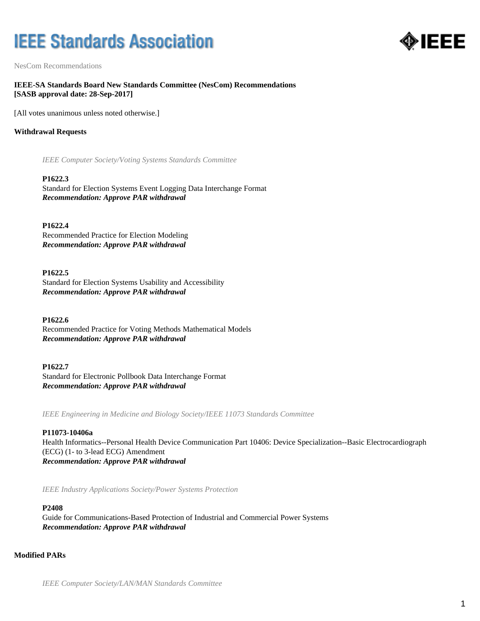# **IEEE Standards Association**



NesCom Recommendations

**IEEE-SA Standards Board New Standards Committee (NesCom) Recommendations [SASB approval date: 28-Sep-2017]**

[All votes unanimous unless noted otherwise.]

## **Withdrawal Requests**

*IEEE Computer Society/Voting Systems Standards Committee*

## **P1622.3**

Standard for Election Systems Event Logging Data Interchange Format *Recommendation: Approve PAR withdrawal*

**P1622.4** Recommended Practice for Election Modeling *Recommendation: Approve PAR withdrawal*

## **P1622.5**

Standard for Election Systems Usability and Accessibility *Recommendation: Approve PAR withdrawal*

# **P1622.6**

Recommended Practice for Voting Methods Mathematical Models *Recommendation: Approve PAR withdrawal*

**P1622.7** Standard for Electronic Pollbook Data Interchange Format *Recommendation: Approve PAR withdrawal*

*IEEE Engineering in Medicine and Biology Society/IEEE 11073 Standards Committee*

# **P11073-10406a**

Health Informatics--Personal Health Device Communication Part 10406: Device Specialization--Basic Electrocardiograph (ECG) (1- to 3-lead ECG) Amendment *Recommendation: Approve PAR withdrawal*

*IEEE Industry Applications Society/Power Systems Protection*

## **P2408**

Guide for Communications-Based Protection of Industrial and Commercial Power Systems *Recommendation: Approve PAR withdrawal*

## **Modified PARs**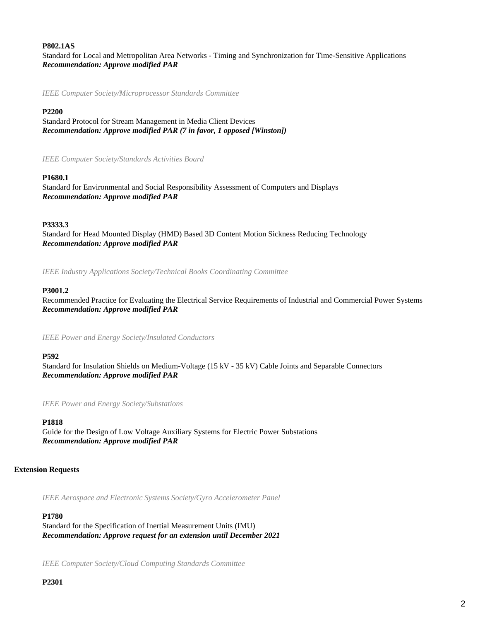## **P802.1AS**

Standard for Local and Metropolitan Area Networks - Timing and Synchronization for Time-Sensitive Applications *Recommendation: Approve modified PAR*

*IEEE Computer Society/Microprocessor Standards Committee*

## **P2200**

Standard Protocol for Stream Management in Media Client Devices *Recommendation: Approve modified PAR (7 in favor, 1 opposed [Winston])*

*IEEE Computer Society/Standards Activities Board*

## **P1680.1**

Standard for Environmental and Social Responsibility Assessment of Computers and Displays *Recommendation: Approve modified PAR*

# **P3333.3**

Standard for Head Mounted Display (HMD) Based 3D Content Motion Sickness Reducing Technology *Recommendation: Approve modified PAR*

*IEEE Industry Applications Society/Technical Books Coordinating Committee*

## **P3001.2**

Recommended Practice for Evaluating the Electrical Service Requirements of Industrial and Commercial Power Systems *Recommendation: Approve modified PAR*

*IEEE Power and Energy Society/Insulated Conductors*

#### **P592**

Standard for Insulation Shields on Medium-Voltage (15 kV - 35 kV) Cable Joints and Separable Connectors *Recommendation: Approve modified PAR*

*IEEE Power and Energy Society/Substations*

## **P1818**

Guide for the Design of Low Voltage Auxiliary Systems for Electric Power Substations *Recommendation: Approve modified PAR*

## **Extension Requests**

*IEEE Aerospace and Electronic Systems Society/Gyro Accelerometer Panel*

#### **P1780**

Standard for the Specification of Inertial Measurement Units (IMU) *Recommendation: Approve request for an extension until December 2021*

*IEEE Computer Society/Cloud Computing Standards Committee*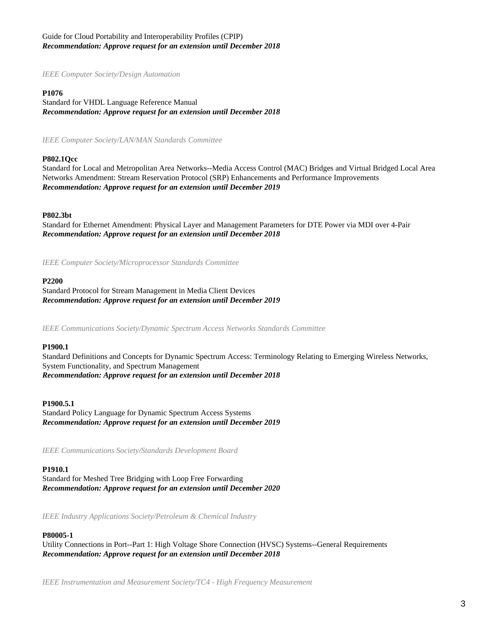# Guide for Cloud Portability and Interoperability Profiles (CPIP) *Recommendation: Approve request for an extension until December 2018*

*IEEE Computer Society/Design Automation*

## **P1076**

Standard for VHDL Language Reference Manual *Recommendation: Approve request for an extension until December 2018*

*IEEE Computer Society/LAN/MAN Standards Committee*

#### **P802.1Qcc**

Standard for Local and Metropolitan Area Networks--Media Access Control (MAC) Bridges and Virtual Bridged Local Area Networks Amendment: Stream Reservation Protocol (SRP) Enhancements and Performance Improvements *Recommendation: Approve request for an extension until December 2019*

#### **P802.3bt**

Standard for Ethernet Amendment: Physical Layer and Management Parameters for DTE Power via MDI over 4-Pair *Recommendation: Approve request for an extension until December 2018*

*IEEE Computer Society/Microprocessor Standards Committee*

#### **P2200**

Standard Protocol for Stream Management in Media Client Devices *Recommendation: Approve request for an extension until December 2019*

*IEEE Communications Society/Dynamic Spectrum Access Networks Standards Committee*

#### **P1900.1**

Standard Definitions and Concepts for Dynamic Spectrum Access: Terminology Relating to Emerging Wireless Networks, System Functionality, and Spectrum Management *Recommendation: Approve request for an extension until December 2018*

#### **P1900.5.1**

Standard Policy Language for Dynamic Spectrum Access Systems *Recommendation: Approve request for an extension until December 2019*

*IEEE Communications Society/Standards Development Board*

## **P1910.1**

Standard for Meshed Tree Bridging with Loop Free Forwarding *Recommendation: Approve request for an extension until December 2020*

*IEEE Industry Applications Society/Petroleum & Chemical Industry*

## **P80005-1**

Utility Connections in Port--Part 1: High Voltage Shore Connection (HVSC) Systems--General Requirements *Recommendation: Approve request for an extension until December 2018*

*IEEE Instrumentation and Measurement Society/TC4 - High Frequency Measurement*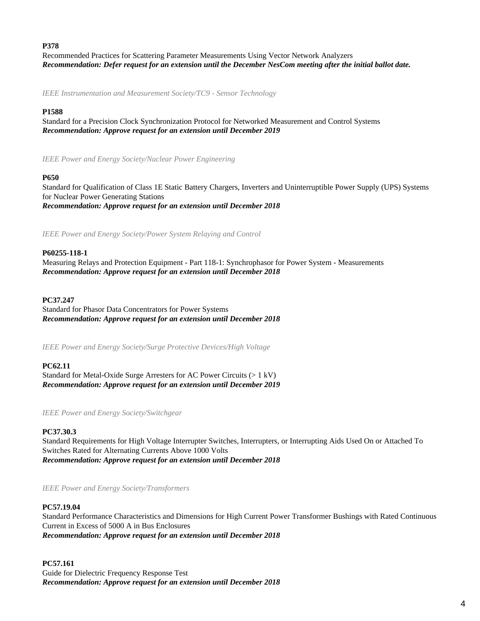## **P378**

Recommended Practices for Scattering Parameter Measurements Using Vector Network Analyzers *Recommendation: Defer request for an extension until the December NesCom meeting after the initial ballot date.*

*IEEE Instrumentation and Measurement Society/TC9 - Sensor Technology*

# **P1588**

Standard for a Precision Clock Synchronization Protocol for Networked Measurement and Control Systems *Recommendation: Approve request for an extension until December 2019*

*IEEE Power and Energy Society/Nuclear Power Engineering*

# **P650**

Standard for Qualification of Class 1E Static Battery Chargers, Inverters and Uninterruptible Power Supply (UPS) Systems for Nuclear Power Generating Stations *Recommendation: Approve request for an extension until December 2018*

*IEEE Power and Energy Society/Power System Relaying and Control*

## **P60255-118-1**

Measuring Relays and Protection Equipment - Part 118-1: Synchrophasor for Power System - Measurements *Recommendation: Approve request for an extension until December 2018*

## **PC37.247**

Standard for Phasor Data Concentrators for Power Systems *Recommendation: Approve request for an extension until December 2018*

*IEEE Power and Energy Society/Surge Protective Devices/High Voltage*

# **PC62.11**

Standard for Metal-Oxide Surge Arresters for AC Power Circuits (> 1 kV) *Recommendation: Approve request for an extension until December 2019*

*IEEE Power and Energy Society/Switchgear*

# **PC37.30.3**

Standard Requirements for High Voltage Interrupter Switches, Interrupters, or Interrupting Aids Used On or Attached To Switches Rated for Alternating Currents Above 1000 Volts *Recommendation: Approve request for an extension until December 2018*

*IEEE Power and Energy Society/Transformers*

# **PC57.19.04**

Standard Performance Characteristics and Dimensions for High Current Power Transformer Bushings with Rated Continuous Current in Excess of 5000 A in Bus Enclosures *Recommendation: Approve request for an extension until December 2018*

# **PC57.161**

Guide for Dielectric Frequency Response Test *Recommendation: Approve request for an extension until December 2018*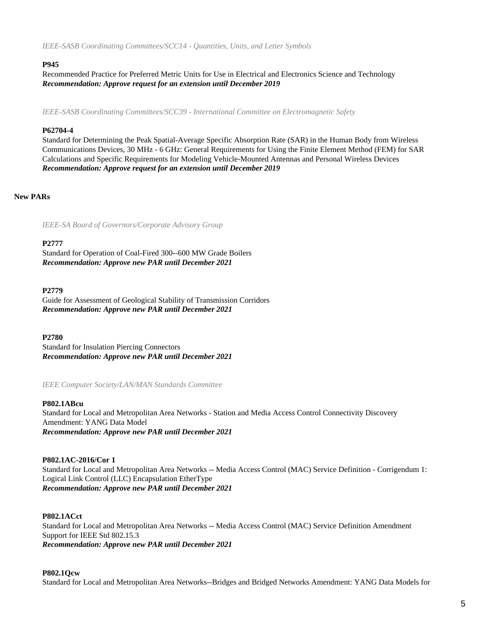*IEEE-SASB Coordinating Committees/SCC14 - Quantities, Units, and Letter Symbols*

## **P945**

Recommended Practice for Preferred Metric Units for Use in Electrical and Electronics Science and Technology *Recommendation: Approve request for an extension until December 2019*

*IEEE-SASB Coordinating Committees/SCC39 - International Committee on Electromagnetic Safety*

## **P62704-4**

Standard for Determining the Peak Spatial-Average Specific Absorption Rate (SAR) in the Human Body from Wireless Communications Devices, 30 MHz - 6 GHz: General Requirements for Using the Finite Element Method (FEM) for SAR Calculations and Specific Requirements for Modeling Vehicle-Mounted Antennas and Personal Wireless Devices *Recommendation: Approve request for an extension until December 2019*

## **New PARs**

*IEEE-SA Board of Governors/Corporate Advisory Group*

## **P2777**

Standard for Operation of Coal-Fired 300--600 MW Grade Boilers *Recommendation: Approve new PAR until December 2021*

## **P2779**

Guide for Assessment of Geological Stability of Transmission Corridors *Recommendation: Approve new PAR until December 2021*

**P2780**

Standard for Insulation Piercing Connectors *Recommendation: Approve new PAR until December 2021*

*IEEE Computer Society/LAN/MAN Standards Committee*

## **P802.1ABcu**

Standard for Local and Metropolitan Area Networks - Station and Media Access Control Connectivity Discovery Amendment: YANG Data Model *Recommendation: Approve new PAR until December 2021*

## **P802.1AC-2016/Cor 1**

Standard for Local and Metropolitan Area Networks -- Media Access Control (MAC) Service Definition - Corrigendum 1: Logical Link Control (LLC) Encapsulation EtherType *Recommendation: Approve new PAR until December 2021*

## **P802.1ACct**

Standard for Local and Metropolitan Area Networks -- Media Access Control (MAC) Service Definition Amendment Support for IEEE Std 802.15.3 *Recommendation: Approve new PAR until December 2021*

## **P802.1Qcw**

Standard for Local and Metropolitan Area Networks--Bridges and Bridged Networks Amendment: YANG Data Models for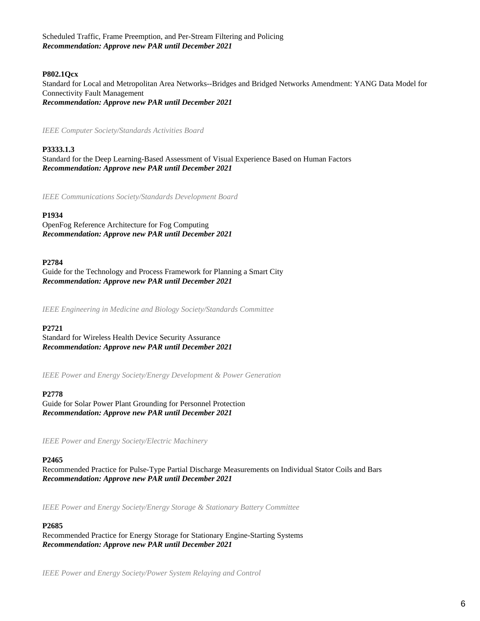Scheduled Traffic, Frame Preemption, and Per-Stream Filtering and Policing *Recommendation: Approve new PAR until December 2021*

# **P802.1Qcx**

Standard for Local and Metropolitan Area Networks--Bridges and Bridged Networks Amendment: YANG Data Model for Connectivity Fault Management *Recommendation: Approve new PAR until December 2021*

*IEEE Computer Society/Standards Activities Board*

## **P3333.1.3**

Standard for the Deep Learning-Based Assessment of Visual Experience Based on Human Factors *Recommendation: Approve new PAR until December 2021*

*IEEE Communications Society/Standards Development Board*

## **P1934**

OpenFog Reference Architecture for Fog Computing *Recommendation: Approve new PAR until December 2021*

#### **P2784**

Guide for the Technology and Process Framework for Planning a Smart City *Recommendation: Approve new PAR until December 2021*

*IEEE Engineering in Medicine and Biology Society/Standards Committee*

#### **P2721**

Standard for Wireless Health Device Security Assurance *Recommendation: Approve new PAR until December 2021*

*IEEE Power and Energy Society/Energy Development & Power Generation*

#### **P2778**

Guide for Solar Power Plant Grounding for Personnel Protection *Recommendation: Approve new PAR until December 2021*

*IEEE Power and Energy Society/Electric Machinery*

#### **P2465**

Recommended Practice for Pulse-Type Partial Discharge Measurements on Individual Stator Coils and Bars *Recommendation: Approve new PAR until December 2021*

*IEEE Power and Energy Society/Energy Storage & Stationary Battery Committee*

#### **P2685**

Recommended Practice for Energy Storage for Stationary Engine-Starting Systems *Recommendation: Approve new PAR until December 2021*

*IEEE Power and Energy Society/Power System Relaying and Control*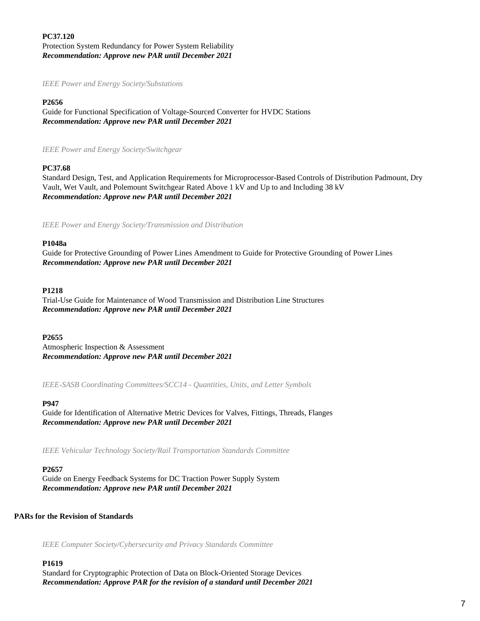# **PC37.120** Protection System Redundancy for Power System Reliability *Recommendation: Approve new PAR until December 2021*

## *IEEE Power and Energy Society/Substations*

## **P2656**

Guide for Functional Specification of Voltage-Sourced Converter for HVDC Stations *Recommendation: Approve new PAR until December 2021*

*IEEE Power and Energy Society/Switchgear*

# **PC37.68**

Standard Design, Test, and Application Requirements for Microprocessor-Based Controls of Distribution Padmount, Dry Vault, Wet Vault, and Polemount Switchgear Rated Above 1 kV and Up to and Including 38 kV *Recommendation: Approve new PAR until December 2021*

*IEEE Power and Energy Society/Transmission and Distribution*

## **P1048a**

Guide for Protective Grounding of Power Lines Amendment to Guide for Protective Grounding of Power Lines *Recommendation: Approve new PAR until December 2021*

## **P1218**

Trial-Use Guide for Maintenance of Wood Transmission and Distribution Line Structures *Recommendation: Approve new PAR until December 2021*

## **P2655**

Atmospheric Inspection & Assessment *Recommendation: Approve new PAR until December 2021*

*IEEE-SASB Coordinating Committees/SCC14 - Quantities, Units, and Letter Symbols*

## **P947**

Guide for Identification of Alternative Metric Devices for Valves, Fittings, Threads, Flanges *Recommendation: Approve new PAR until December 2021*

*IEEE Vehicular Technology Society/Rail Transportation Standards Committee*

## **P2657**

Guide on Energy Feedback Systems for DC Traction Power Supply System *Recommendation: Approve new PAR until December 2021*

## **PARs for the Revision of Standards**

*IEEE Computer Society/Cybersecurity and Privacy Standards Committee*

## **P1619**

Standard for Cryptographic Protection of Data on Block-Oriented Storage Devices *Recommendation: Approve PAR for the revision of a standard until December 2021*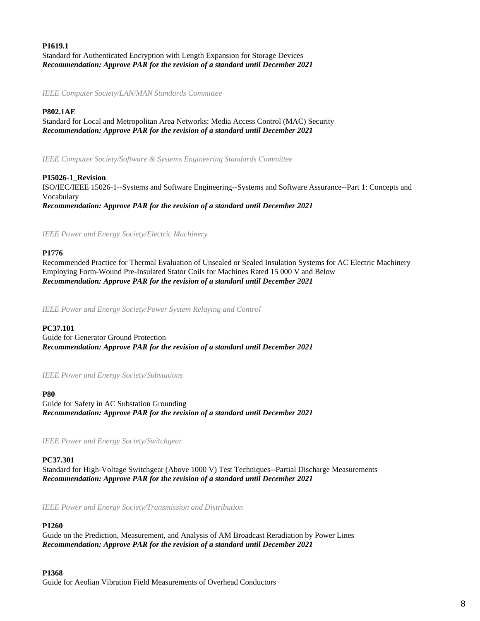# **P1619.1** Standard for Authenticated Encryption with Length Expansion for Storage Devices *Recommendation: Approve PAR for the revision of a standard until December 2021*

*IEEE Computer Society/LAN/MAN Standards Committee*

## **P802.1AE**

Standard for Local and Metropolitan Area Networks: Media Access Control (MAC) Security *Recommendation: Approve PAR for the revision of a standard until December 2021*

*IEEE Computer Society/Software & Systems Engineering Standards Committee*

**P15026-1\_Revision** ISO/IEC/IEEE 15026-1--Systems and Software Engineering--Systems and Software Assurance--Part 1: Concepts and Vocabulary *Recommendation: Approve PAR for the revision of a standard until December 2021*

*IEEE Power and Energy Society/Electric Machinery*

## **P1776**

Recommended Practice for Thermal Evaluation of Unsealed or Sealed Insulation Systems for AC Electric Machinery Employing Form-Wound Pre-Insulated Stator Coils for Machines Rated 15 000 V and Below *Recommendation: Approve PAR for the revision of a standard until December 2021*

*IEEE Power and Energy Society/Power System Relaying and Control*

## **PC37.101**

Guide for Generator Ground Protection *Recommendation: Approve PAR for the revision of a standard until December 2021*

*IEEE Power and Energy Society/Substations*

#### **P80**

Guide for Safety in AC Substation Grounding *Recommendation: Approve PAR for the revision of a standard until December 2021*

*IEEE Power and Energy Society/Switchgear*

## **PC37.301**

Standard for High-Voltage Switchgear (Above 1000 V) Test Techniques--Partial Discharge Measurements *Recommendation: Approve PAR for the revision of a standard until December 2021*

*IEEE Power and Energy Society/Transmission and Distribution*

## **P1260**

Guide on the Prediction, Measurement, and Analysis of AM Broadcast Reradiation by Power Lines *Recommendation: Approve PAR for the revision of a standard until December 2021*

## **P1368**

Guide for Aeolian Vibration Field Measurements of Overhead Conductors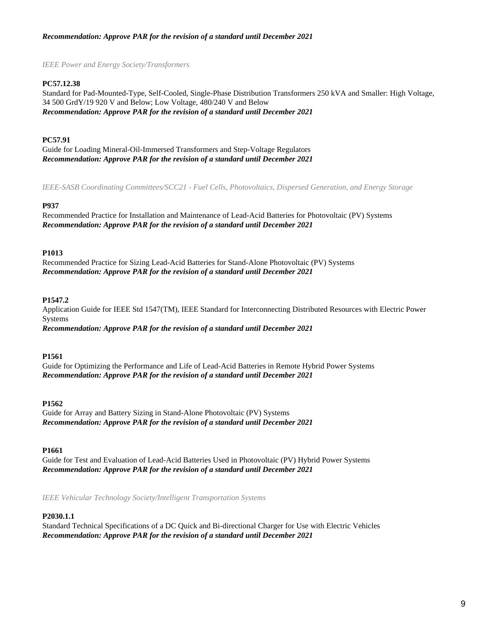# *Recommendation: Approve PAR for the revision of a standard until December 2021*

*IEEE Power and Energy Society/Transformers*

# **PC57.12.38**

Standard for Pad-Mounted-Type, Self-Cooled, Single-Phase Distribution Transformers 250 kVA and Smaller: High Voltage, 34 500 GrdY/19 920 V and Below; Low Voltage, 480/240 V and Below *Recommendation: Approve PAR for the revision of a standard until December 2021*

# **PC57.91**

Guide for Loading Mineral-Oil-Immersed Transformers and Step-Voltage Regulators *Recommendation: Approve PAR for the revision of a standard until December 2021*

*IEEE-SASB Coordinating Committees/SCC21 - Fuel Cells, Photovoltaics, Dispersed Generation, and Energy Storage*

# **P937**

Recommended Practice for Installation and Maintenance of Lead-Acid Batteries for Photovoltaic (PV) Systems *Recommendation: Approve PAR for the revision of a standard until December 2021*

## **P1013**

Recommended Practice for Sizing Lead-Acid Batteries for Stand-Alone Photovoltaic (PV) Systems *Recommendation: Approve PAR for the revision of a standard until December 2021*

## **P1547.2**

Application Guide for IEEE Std 1547(TM), IEEE Standard for Interconnecting Distributed Resources with Electric Power Systems

*Recommendation: Approve PAR for the revision of a standard until December 2021*

## **P1561**

Guide for Optimizing the Performance and Life of Lead-Acid Batteries in Remote Hybrid Power Systems *Recommendation: Approve PAR for the revision of a standard until December 2021*

## **P1562**

Guide for Array and Battery Sizing in Stand-Alone Photovoltaic (PV) Systems *Recommendation: Approve PAR for the revision of a standard until December 2021*

# **P1661**

Guide for Test and Evaluation of Lead-Acid Batteries Used in Photovoltaic (PV) Hybrid Power Systems *Recommendation: Approve PAR for the revision of a standard until December 2021*

*IEEE Vehicular Technology Society/Intelligent Transportation Systems*

# **P2030.1.1**

Standard Technical Specifications of a DC Quick and Bi-directional Charger for Use with Electric Vehicles *Recommendation: Approve PAR for the revision of a standard until December 2021*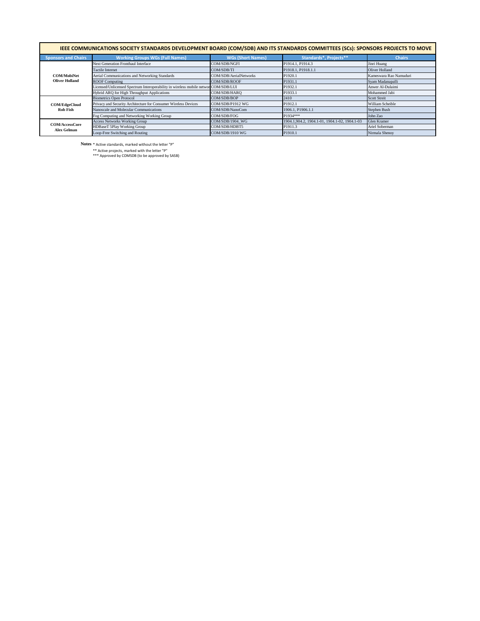| IEEE COMMUNICATIONS SOCIETY STANDARDS DEVELOPMENT BOARD (COM/SDB) AND ITS STANDARDS COMMITTEES (SCs): SPONSORS PROJECTS TO MOVE |                                                                                     |                          |                                                |                        |  |  |  |  |
|---------------------------------------------------------------------------------------------------------------------------------|-------------------------------------------------------------------------------------|--------------------------|------------------------------------------------|------------------------|--|--|--|--|
| <b>Sponsors and Chairs</b>                                                                                                      | <b>Working Groups WGs (Full Names)</b>                                              | <b>WGs (Short Names)</b> | <b>Standards*, Projects**</b>                  | <b>Chairs</b>          |  |  |  |  |
| <b>COM/MobiNet</b><br><b>Oliver Holland</b>                                                                                     | <b>Next Generation Fronthaul Interface</b>                                          | <b>COM/SDB/NGFI</b>      | P1914.1, P1914.3                               | Jinri Huang            |  |  |  |  |
|                                                                                                                                 | <b>Tactile Internet</b>                                                             | COM/SDB/TI               | P1918.1, P1918.1.1                             | Oliver Holland         |  |  |  |  |
|                                                                                                                                 | Aerial Communications and Networking Standards                                      | COM/SDB/AerialNetworks   | P <sub>1920.1</sub>                            | Kameswara Rao Namuduri |  |  |  |  |
|                                                                                                                                 | <b>ROOF Computing</b>                                                               | COM/SDB/ROOF             | P <sub>1931.1</sub>                            | Syam Madanapalli       |  |  |  |  |
|                                                                                                                                 | Licensed/Unlicensed Spectrum Interoperability in wireless mobile networ COM/SDB/LUI |                          | P1932.1                                        | Anwer Al-Dulaimi       |  |  |  |  |
|                                                                                                                                 | Hybrid ARQ for High Throughput Applications                                         | COM/SDB/HARQ             | P1933.1                                        | Mohammed Jabi          |  |  |  |  |
| <b>COM/EdgeCloud</b><br><b>Rob Fish</b>                                                                                         | <b>Biometrics Open Protocol</b>                                                     | COM/SDB/BOP              | 2410                                           | <b>Scott Streit</b>    |  |  |  |  |
|                                                                                                                                 | Privacy and Security Architecture for Consumer Wireless Devices                     | COM/SDB/P1912 WG         | P1912.1                                        | William Scheible       |  |  |  |  |
|                                                                                                                                 | Nanoscale and Molecular Communications                                              | COM/SDB/NanoCom          | 1906.1, P1906.1.1                              | Stephen Bush           |  |  |  |  |
|                                                                                                                                 | Fog Computing and Networking Working Group                                          | COM/SDB/FOG              | P1934***                                       | John Zao               |  |  |  |  |
| <b>COM/AccessCore</b><br><b>Alex Gelman</b>                                                                                     | <b>Access Networks Working Group</b>                                                | COM/SDB/1904_WG          | 1904.1, 904.2, 1904.1-01, 1904.1-02, 1904.1-03 | Glen Kramer            |  |  |  |  |
|                                                                                                                                 | HDBaseT 5Play Working Group                                                         | COM/SDB/HDBT5            | P <sub>1911.3</sub>                            | Ariel Soberman         |  |  |  |  |
|                                                                                                                                 | Loop-Free Switching and Routing                                                     | COM/SDB/1910 WG          | P <sub>1910.1</sub>                            | Nirmala Shenoy         |  |  |  |  |

**Notes** \* Active standards, marked without the letter "P"

\*\* Active projects, marked with the letter "P"

\*\*\* Approved by COMSDB (to be approved by SASB)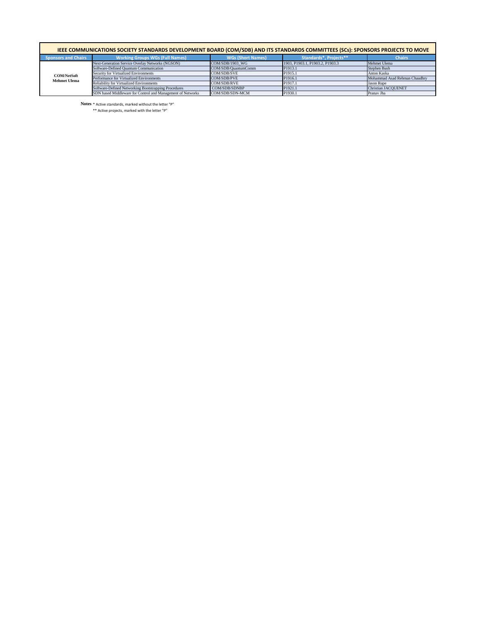| IEEE COMMUNICATIONS SOCIETY STANDARDS DEVELOPMENT BOARD (COM/SDB) AND ITS STANDARDS COMMITTEES (SCs): SPONSORS PROJECTS TO MOVE |                                                             |                          |                                 |                               |  |  |  |  |
|---------------------------------------------------------------------------------------------------------------------------------|-------------------------------------------------------------|--------------------------|---------------------------------|-------------------------------|--|--|--|--|
| <b>Sponsors and Chairs</b>                                                                                                      | <b>Working Groups WGs (Full Names)</b>                      | <b>WGs (Short Names)</b> | <b>Standards*, Projects**</b>   | <b>Chairs</b>                 |  |  |  |  |
| <b>COM/NetSoft</b><br><b>Mehmet Ulema</b>                                                                                       | Next-Generation Service Overlay Networks (NGSON)            | $COM/SDB/1903$ WG        | 1903, P1903.1, P1903.2, P1903.3 | Mehmet Ulema                  |  |  |  |  |
|                                                                                                                                 | Software-Defined Quantum Communication                      | COM/SDB/QuantumComm      | P <sub>1913.1</sub>             | Stephen Bush                  |  |  |  |  |
|                                                                                                                                 | <b>Security for Virtualized Environments</b>                | COM/SDB/SVE              | P <sub>1915.1</sub>             | Anton Kaska                   |  |  |  |  |
|                                                                                                                                 | Performance for Virtualized Environments                    | COM/SDB/PVE              | P <sub>1916.1</sub>             | Mohammad Asad Rehman Chaudhry |  |  |  |  |
|                                                                                                                                 | <b>Reliability for Virtualized Environments</b>             | COM/SDB/RVE              | P <sub>1917.1</sub>             | <b>Jason Rupe</b>             |  |  |  |  |
|                                                                                                                                 | Software-Defined Networking Bootstrapping Procedures        | COM/SDB/SDNBP            | P <sub>1921.1</sub>             | <b>Christian JACQUENET</b>    |  |  |  |  |
|                                                                                                                                 | SDN based Middleware for Control and Management of Networks | COM/SDB/SDN-MCM          | P <sub>1930.1</sub>             | Pranav Jha                    |  |  |  |  |

**Notes** \* Active standards, marked without the letter "P"

\*\* Active projects, marked with the letter "P"